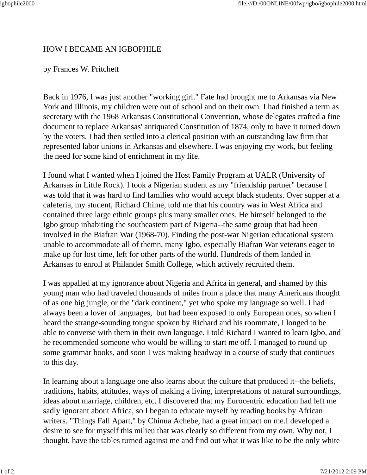## HOW I BECAME AN IGBOPHILE

## by Frances W. Pritchett

Back in 1976, I was just another "working girl." Fate had brought me to Arkansas via New York and Illinois, my children were out of school and on their own. I had finished a term as secretary with the 1968 Arkansas Constitutional Convention, whose delegates crafted a fine document to replace Arkansas' antiquated Constitution of 1874, only to have it turned down by the voters. I had then settled into a clerical position with an outstanding law firm that represented labor unions in Arkansas and elsewhere. I was enjoying my work, but feeling the need for some kind of enrichment in my life.

I found what I wanted when I joined the Host Family Program at UALR (University of Arkansas in Little Rock). I took a Nigerian student as my "friendship partner" because I was told that it was hard to find families who would accept black students. Over supper at a cafeteria, my student, Richard Chime, told me that his country was in West Africa and contained three large ethnic groups plus many smaller ones. He himself belonged to the Igbo group inhabiting the southeastern part of Nigeria--the same group that had been involved in the Biafran War (1968-70). Finding the post-war Nigerian educational system unable to accommodate all of themn, many Igbo, especially Biafran War veterans eager to make up for lost time, left for other parts of the world. Hundreds of them landed in Arkansas to enroll at Philander Smith College, which actively recruited them.

I was appalled at my ignorance about Nigeria and Africa in general, and shamed by this young man who had traveled thousands of miles from a place that many Americans thought of as one big jungle, or the "dark continent," yet who spoke my language so well. I had always been a lover of languages, but had been exposed to only European ones, so when I heard the strange-sounding tongue spoken by Richard and his roommate, I longed to be able to converse with them in their own language. I told Richard I wanted to learn Igbo, and he recommended someone who would be willing to start me off. I managed to round up some grammar books, and soon I was making headway in a course of study that continues to this day.

In learning about a language one also learns about the culture that produced it--the beliefs, traditions, habits, attitudes, ways of making a living, interpretations of natural surroundings, ideas about marriage, children, etc. I discovered that my Eurocentric education had left me sadly ignorant about Africa, so I began to educate myself by reading books by African writers. "Things Fall Apart," by Chinua Achebe, had a great impact on me.I developed a desire to see for myself this milieu that was clearly so different from my own. Why not, I thought, have the tables turned against me and find out what it was like to be the only white